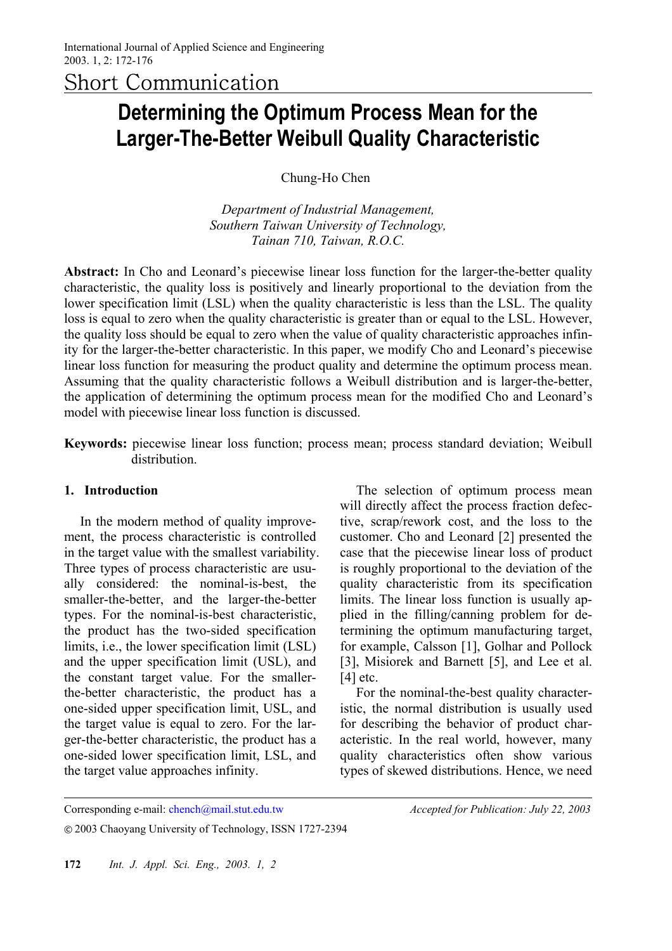Short Communication

# **Determining the Optimum Process Mean for the Larger-The-Better Weibull Quality Characteristic**

Chung-Ho Chen<sup>∗</sup>

*Department of Industrial Management, Southern Taiwan University of Technology, Tainan 710, Taiwan, R.O.C.*

**Abstract:** In Cho and Leonard's piecewise linear loss function for the larger-the-better quality characteristic, the quality loss is positively and linearly proportional to the deviation from the lower specification limit (LSL) when the quality characteristic is less than the LSL. The quality loss is equal to zero when the quality characteristic is greater than or equal to the LSL. However, the quality loss should be equal to zero when the value of quality characteristic approaches infinity for the larger-the-better characteristic. In this paper, we modify Cho and Leonard's piecewise linear loss function for measuring the product quality and determine the optimum process mean. Assuming that the quality characteristic follows a Weibull distribution and is larger-the-better, the application of determining the optimum process mean for the modified Cho and Leonard's model with piecewise linear loss function is discussed.

**Keywords:** piecewise linear loss function; process mean; process standard deviation; Weibull distribution.

## **1. Introduction**

 $\overline{a}$ 

In the modern method of quality improvement, the process characteristic is controlled in the target value with the smallest variability. Three types of process characteristic are usually considered: the nominal-is-best, the smaller-the-better, and the larger-the-better types. For the nominal-is-best characteristic, the product has the two-sided specification limits, i.e., the lower specification limit (LSL) and the upper specification limit (USL), and the constant target value. For the smallerthe-better characteristic, the product has a one-sided upper specification limit, USL, and the target value is equal to zero. For the larger-the-better characteristic, the product has a one-sided lower specification limit, LSL, and the target value approaches infinity.

The selection of optimum process mean will directly affect the process fraction defective, scrap/rework cost, and the loss to the customer. Cho and Leonard [2] presented the case that the piecewise linear loss of product is roughly proportional to the deviation of the quality characteristic from its specification limits. The linear loss function is usually applied in the filling/canning problem for determining the optimum manufacturing target, for example, Calsson [1], Golhar and Pollock [3], Misiorek and Barnett [5], and Lee et al.  $[4]$  etc.

For the nominal-the-best quality characteristic, the normal distribution is usually used for describing the behavior of product characteristic. In the real world, however, many quality characteristics often show various types of skewed distributions. Hence, we need

Corresponding e-mail: chench@mail.stut.edu.tw *Accepted for Publication: July 22, 2003*

© 2003 Chaoyang University of Technology, ISSN 1727-2394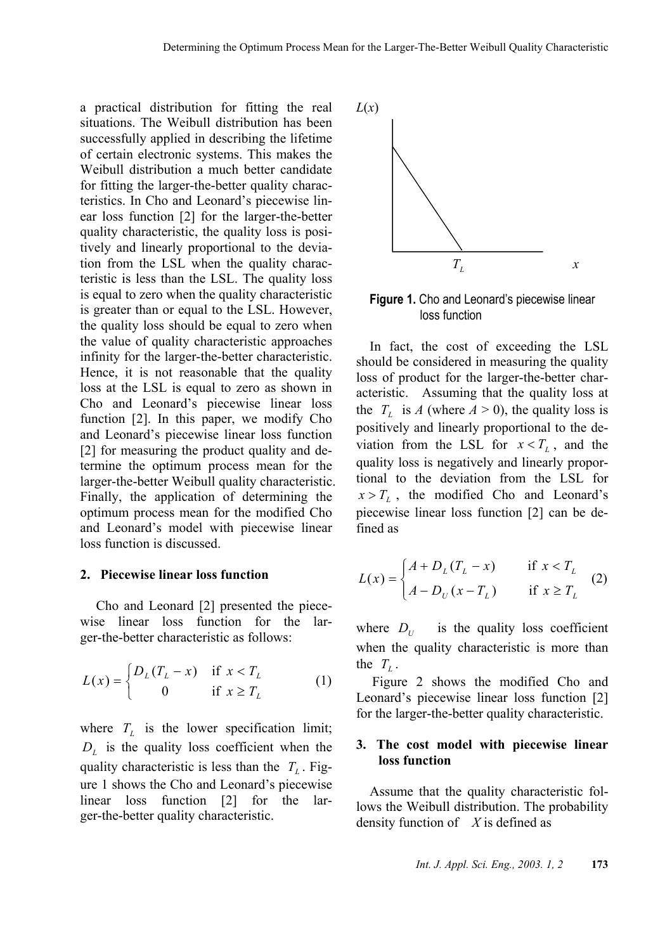a practical distribution for fitting the real situations. The Weibull distribution has been successfully applied in describing the lifetime of certain electronic systems. This makes the Weibull distribution a much better candidate for fitting the larger-the-better quality characteristics. In Cho and Leonard's piecewise linear loss function [2] for the larger-the-better quality characteristic, the quality loss is positively and linearly proportional to the deviation from the LSL when the quality characteristic is less than the LSL. The quality loss is equal to zero when the quality characteristic is greater than or equal to the LSL. However, the quality loss should be equal to zero when the value of quality characteristic approaches infinity for the larger-the-better characteristic. Hence, it is not reasonable that the quality loss at the LSL is equal to zero as shown in Cho and Leonard's piecewise linear loss function [2]. In this paper, we modify Cho and Leonard's piecewise linear loss function [2] for measuring the product quality and determine the optimum process mean for the larger-the-better Weibull quality characteristic. Finally, the application of determining the optimum process mean for the modified Cho and Leonard's model with piecewise linear loss function is discussed.

#### **2. Piecewise linear loss function**

Cho and Leonard [2] presented the piecewise linear loss function for the larger-the-better characteristic as follows:

$$
L(x) = \begin{cases} D_L(T_L - x) & \text{if } x < T_L \\ 0 & \text{if } x \ge T_L \end{cases}
$$
 (1)

where  $T_L$  is the lower specification limit;  $D_L$  is the quality loss coefficient when the quality characteristic is less than the  $T_L$ . Figure 1 shows the Cho and Leonard's piecewise linear loss function [2] for the larger-the-better quality characteristic.



**Figure 1.** Cho and Leonard's piecewise linear loss function

In fact, the cost of exceeding the LSL should be considered in measuring the quality loss of product for the larger-the-better characteristic. Assuming that the quality loss at the  $T_{\text{L}}$  is *A* (where  $A > 0$ ), the quality loss is positively and linearly proportional to the deviation from the LSL for  $x < T_i$ , and the quality loss is negatively and linearly proportional to the deviation from the LSL for  $x > T_L$ , the modified Cho and Leonard's piecewise linear loss function [2] can be defined as

$$
L(x) = \begin{cases} A + D_L(T_L - x) & \text{if } x < T_L \\ A - D_U(x - T_L) & \text{if } x \ge T_L \end{cases}
$$
 (2)

where  $D_U$  is the quality loss coefficient when the quality characteristic is more than the  $T_L$ .

Figure 2 shows the modified Cho and Leonard's piecewise linear loss function [2] for the larger-the-better quality characteristic.

## **3. The cost model with piecewise linear loss function**

Assume that the quality characteristic follows the Weibull distribution. The probability density function of *X* is defined as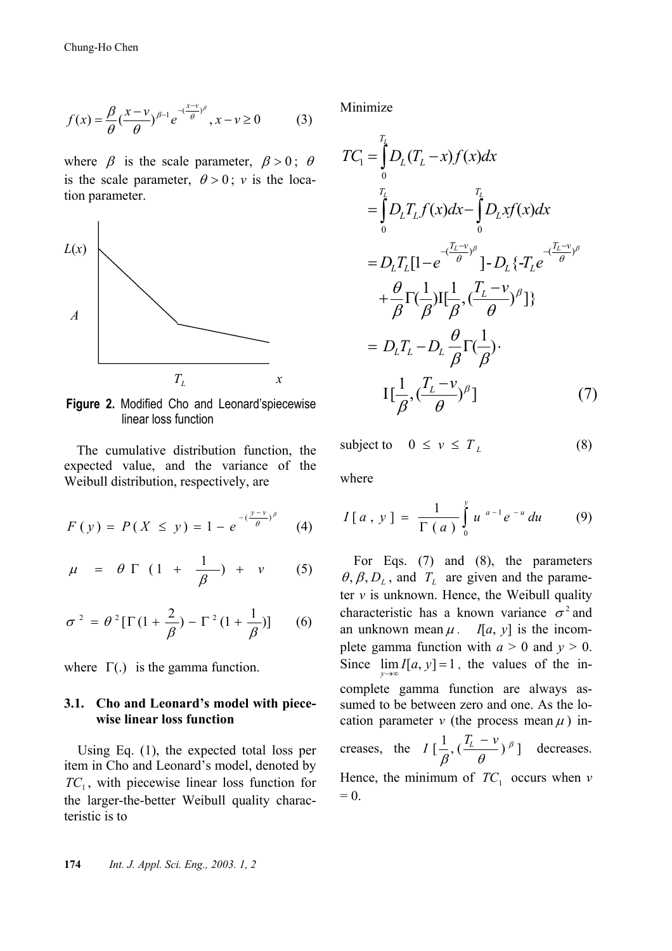$$
f(x) = \frac{\beta}{\theta} \left(\frac{x - v}{\theta}\right)^{\beta - 1} e^{-\left(\frac{x - v}{\theta}\right)^{\beta}}, x - v \ge 0 \tag{3}
$$

where  $\beta$  is the scale parameter,  $\beta > 0$ ;  $\theta$ is the scale parameter,  $\theta > 0$ ; *v* is the location parameter.



**Figure 2.** Modified Cho and Leonard'spiecewise linear loss function

The cumulative distribution function, the expected value, and the variance of the Weibull distribution, respectively, are

$$
F(y) = P(X \le y) = 1 - e^{-\left(\frac{y - v}{\theta}\right)^{\beta}}
$$
 (4)

$$
\mu = \theta \Gamma (1 + \frac{1}{\beta}) + \nu \qquad (5)
$$

$$
\sigma^2 = \theta^2 [\Gamma(1+\frac{2}{\beta}) - \Gamma^2(1+\frac{1}{\beta})] \qquad (6)
$$

where  $\Gamma(.)$  is the gamma function.

## **3.1. Cho and Leonard's model with piecewise linear loss function**

Using Eq. (1), the expected total loss per item in Cho and Leonard's model, denoted by  $TC_1$ , with piecewise linear loss function for the larger-the-better Weibull quality characteristic is to

Minimize

$$
TC_{1} = \int_{0}^{T_{L}} D_{L}(T_{L} - x)f(x)dx
$$
  
\n
$$
= \int_{0}^{T_{L}} D_{L}T_{L}f(x)dx - \int_{0}^{T_{L}} D_{L}xf(x)dx
$$
  
\n
$$
= D_{L}T_{L}[1 - e^{-\frac{(\frac{T_{L} - v}{\theta})^{\beta}}{\beta}}] - D_{L}\{-T_{L}e^{-\frac{(\frac{T_{L} - v}{\theta})^{\beta}}{\beta}}\}
$$
  
\n
$$
+ \frac{\theta}{\beta}\Gamma(\frac{1}{\beta})I[\frac{1}{\beta}, (\frac{T_{L} - v}{\theta})^{\beta}]\}
$$
  
\n
$$
= D_{L}T_{L} - D_{L}\frac{\theta}{\beta}\Gamma(\frac{1}{\beta})
$$
  
\n
$$
I[\frac{1}{\beta}, (\frac{T_{L} - v}{\theta})^{\beta}]
$$
(7)

subject to  $0 \le v \le T_L$  (8)

where

$$
I[a \, , \, y \, ] = \frac{1}{\Gamma(a)} \int_{0}^{y} u^{a-1} e^{-u} \, du \qquad (9)
$$

For Eqs. (7) and (8), the parameters  $\theta$ ,  $\beta$ ,  $D_L$ , and  $T_L$  are given and the parameter  $v$  is unknown. Hence, the Weibull quality characteristic has a known variance  $\sigma^2$  and an unknown mean  $\mu$ . *I*[*a*, *y*] is the incomplete gamma function with  $a > 0$  and  $y > 0$ . Since  $\lim_{y \to \infty} I[a, y] = 1$ , the values of the incomplete gamma function are always assumed to be between zero and one. As the location parameter  $\nu$  (the process mean  $\mu$ ) increases, the  $I\left[\frac{1}{\epsilon}, \left(\frac{T_L - v}{r_L}\right)^{\beta}\right]$  $\beta$   $\theta$  $I\left[\frac{1}{\epsilon}, \left(\frac{T_L - v}{r_L}\right)^{\beta}\right]$  decreases.

Hence, the minimum of  $TC_1$  occurs when  $\nu$  $= 0.$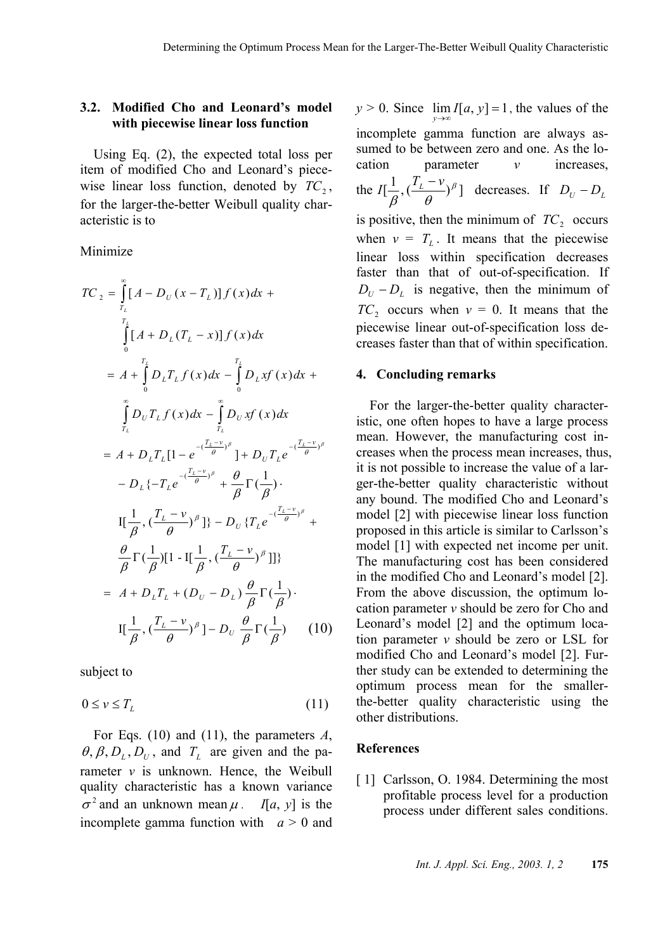## **3.2. Modified Cho and Leonard's model with piecewise linear loss function**

Using Eq. (2), the expected total loss per item of modified Cho and Leonard's piecewise linear loss function, denoted by  $TC_2$ , for the larger-the-better Weibull quality characteristic is to

Minimize

$$
TC_{2} = \int_{T_{L}}^{\infty} [A - D_{U}(x - T_{L})] f(x) dx +
$$
\n
$$
\int_{0}^{T_{L}} [A + D_{L}(T_{L} - x)] f(x) dx
$$
\n
$$
= A + \int_{0}^{T_{L}} D_{L}T_{L} f(x) dx - \int_{0}^{T_{L}} D_{L}xf(x) dx +
$$
\n
$$
\int_{T_{L}}^{\infty} D_{U}T_{L}f(x) dx - \int_{T_{L}}^{T_{L}} D_{U}xf(x) dx
$$
\n
$$
= A + D_{L}T_{L}[1 - e^{-(\frac{T_{L} - v}{\theta})^{\beta}}] + D_{U}T_{L}e^{-(\frac{T_{L} - v}{\theta})^{\beta}}
$$
\n
$$
- D_{L}\{-T_{L}e^{-(\frac{T_{L} - v}{\theta})^{\beta}} + \frac{\theta}{\beta}\Gamma(\frac{1}{\beta})
$$
\n
$$
I[\frac{1}{\beta}, (\frac{T_{L} - v}{\theta})^{\beta}] \} - D_{U}\{T_{L}e^{-(\frac{T_{L} - v}{\theta})^{\beta}} + \frac{\theta}{\beta}\Gamma(\frac{1}{\beta})[1 - I[\frac{1}{\beta}, (\frac{T_{L} - v}{\theta})^{\beta}]]\}
$$
\n
$$
= A + D_{L}T_{L} + (D_{U} - D_{L})\frac{\theta}{\beta}\Gamma(\frac{1}{\beta})
$$
\n
$$
I[\frac{1}{\beta}, (\frac{T_{L} - v}{\theta})^{\beta}] - D_{U}\frac{\theta}{\beta}\Gamma(\frac{1}{\beta}) \qquad (10)
$$

subject to

$$
0 \le v \le T_L \tag{11}
$$

For Eqs. (10) and (11), the parameters *A*,  $\theta$ ,  $\beta$ ,  $D_L$ ,  $D_U$ , and  $T_L$  are given and the parameter  $v$  is unknown. Hence, the Weibull quality characteristic has a known variance  $\sigma^2$  and an unknown mean  $\mu$ . *I*[*a*, *y*] is the incomplete gamma function with  $a > 0$  and

*y* > 0. Since  $\lim_{y \to \infty} I[a, y] = 1$ , the values of the incomplete gamma function are always assumed to be between zero and one. As the location parameter *v* increases, the  $I[\frac{1}{\epsilon}, (\frac{T_L - \nu}{\epsilon})^{\beta}]$  $I[\frac{1}{\beta}, (\frac{T_L - v}{\theta})^{\beta}]$  decreases. If  $D_U - D_L$ is positive, then the minimum of  $TC_2$  occurs when  $v = T_L$ . It means that the piecewise linear loss within specification decreases faster than that of out-of-specification. If  $D_U - D_L$  is negative, then the minimum of  $TC_2$  occurs when  $v = 0$ . It means that the piecewise linear out-of-specification loss decreases faster than that of within specification.

## **4. Concluding remarks**

For the larger-the-better quality characteristic, one often hopes to have a large process mean. However, the manufacturing cost increases when the process mean increases, thus, it is not possible to increase the value of a larger-the-better quality characteristic without any bound. The modified Cho and Leonard's model [2] with piecewise linear loss function proposed in this article is similar to Carlsson's model [1] with expected net income per unit. The manufacturing cost has been considered in the modified Cho and Leonard's model [2]. From the above discussion, the optimum location parameter *v* should be zero for Cho and Leonard's model [2] and the optimum location parameter *v* should be zero or LSL for modified Cho and Leonard's model [2]. Further study can be extended to determining the optimum process mean for the smallerthe-better quality characteristic using the other distributions.

## **References**

[1] Carlsson, O. 1984. Determining the most profitable process level for a production process under different sales conditions.